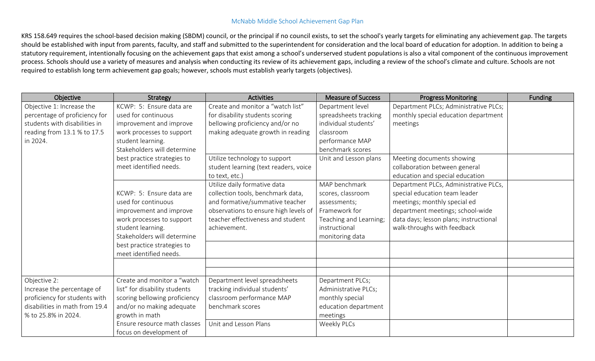## McNabb Middle School Achievement Gap Plan

KRS 158.649 requires the school-based decision making (SBDM) council, or the principal if no council exists, to set the school's yearly targets for eliminating any achievement gap. The targets should be established with input from parents, faculty, and staff and submitted to the superintendent for consideration and the local board of education for adoption. In addition to being a statutory requirement, intentionally focusing on the achievement gaps that exist among a school's underserved student populations is also a vital component of the continuous improvement process. Schools should use a variety of measures and analysis when conducting its review of its achievement gaps, including a review of the school's climate and culture. Schools are not required to establish long term achievement gap goals; however, schools must establish yearly targets (objectives).

| Objective                      | Strategy                      | <b>Activities</b>                     | <b>Measure of Success</b> | <b>Progress Monitoring</b>             | Funding |
|--------------------------------|-------------------------------|---------------------------------------|---------------------------|----------------------------------------|---------|
| Objective 1: Increase the      | KCWP: 5: Ensure data are      | Create and monitor a "watch list"     | Department level          | Department PLCs; Administrative PLCs;  |         |
| percentage of proficiency for  | used for continuous           | for disability students scoring       | spreadsheets tracking     | monthly special education department   |         |
| students with disabilities in  | improvement and improve       | bellowing proficiency and/or no       | individual students'      | meetings                               |         |
| reading from 13.1 % to 17.5    | work processes to support     | making adequate growth in reading     | classroom                 |                                        |         |
| in 2024.                       | student learning.             |                                       | performance MAP           |                                        |         |
|                                | Stakeholders will determine   |                                       | benchmark scores          |                                        |         |
|                                | best practice strategies to   | Utilize technology to support         | Unit and Lesson plans     | Meeting documents showing              |         |
|                                | meet identified needs.        | student learning (text readers, voice |                           | collaboration between general          |         |
|                                |                               | to text, etc.)                        |                           | education and special education        |         |
|                                |                               | Utilize daily formative data          | MAP benchmark             | Department PLCs, Administrative PLCs,  |         |
|                                | KCWP: 5: Ensure data are      | collection tools, benchmark data,     | scores, classroom         | special education team leader          |         |
|                                | used for continuous           | and formative/summative teacher       | assessments;              | meetings; monthly special ed           |         |
|                                | improvement and improve       | observations to ensure high levels of | Framework for             | department meetings; school-wide       |         |
|                                | work processes to support     | teacher effectiveness and student     | Teaching and Learning;    | data days; lesson plans; instructional |         |
|                                | student learning.             | achievement.                          | instructional             | walk-throughs with feedback            |         |
|                                | Stakeholders will determine   |                                       | monitoring data           |                                        |         |
|                                | best practice strategies to   |                                       |                           |                                        |         |
|                                | meet identified needs.        |                                       |                           |                                        |         |
|                                |                               |                                       |                           |                                        |         |
|                                |                               |                                       |                           |                                        |         |
| Objective 2:                   | Create and monitor a "watch   | Department level spreadsheets         | Department PLCs;          |                                        |         |
| Increase the percentage of     | list" for disability students | tracking individual students'         | Administrative PLCs;      |                                        |         |
| proficiency for students with  | scoring bellowing proficiency | classroom performance MAP             | monthly special           |                                        |         |
| disabilities in math from 19.4 | and/or no making adequate     | benchmark scores                      | education department      |                                        |         |
| % to 25.8% in 2024.            | growth in math                |                                       | meetings                  |                                        |         |
|                                | Ensure resource math classes  | Unit and Lesson Plans                 | Weekly PLCs               |                                        |         |
|                                | focus on development of       |                                       |                           |                                        |         |